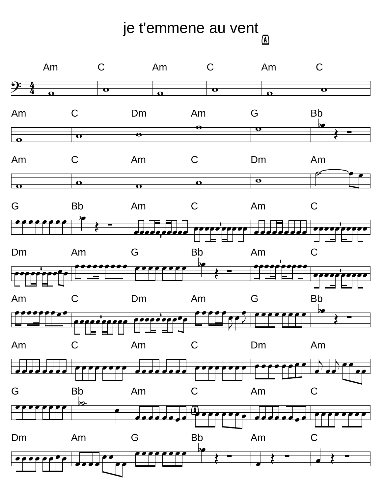## je t'emmene au vent  $\boxed{\mathbb{A}}$